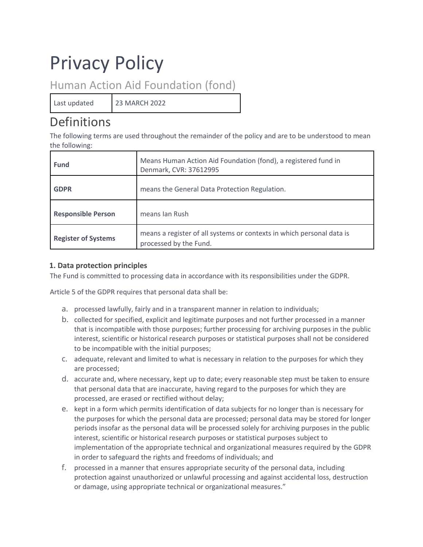# Privacy Policy

Human Action Aid Foundation (fond)

Last updated 23 MARCH 2022

# Definitions

The following terms are used throughout the remainder of the policy and are to be understood to mean the following:

| <b>Fund</b>                | Means Human Action Aid Foundation (fond), a registered fund in<br>Denmark, CVR: 37612995        |
|----------------------------|-------------------------------------------------------------------------------------------------|
| <b>GDPR</b>                | means the General Data Protection Regulation.                                                   |
| <b>Responsible Person</b>  | means Ian Rush                                                                                  |
| <b>Register of Systems</b> | means a register of all systems or contexts in which personal data is<br>processed by the Fund. |

# **1. Data protection principles**

The Fund is committed to processing data in accordance with its responsibilities under the GDPR.

Article 5 of the GDPR requires that personal data shall be:

- a. processed lawfully, fairly and in a transparent manner in relation to individuals;
- b. collected for specified, explicit and legitimate purposes and not further processed in a manner that is incompatible with those purposes; further processing for archiving purposes in the public interest, scientific or historical research purposes or statistical purposes shall not be considered to be incompatible with the initial purposes;
- c. adequate, relevant and limited to what is necessary in relation to the purposes for which they are processed;
- d. accurate and, where necessary, kept up to date; every reasonable step must be taken to ensure that personal data that are inaccurate, having regard to the purposes for which they are processed, are erased or rectified without delay;
- e. kept in a form which permits identification of data subjects for no longer than is necessary for the purposes for which the personal data are processed; personal data may be stored for longer periods insofar as the personal data will be processed solely for archiving purposes in the public interest, scientific or historical research purposes or statistical purposes subject to implementation of the appropriate technical and organizational measures required by the GDPR in order to safeguard the rights and freedoms of individuals; and
- f. processed in a manner that ensures appropriate security of the personal data, including protection against unauthorized or unlawful processing and against accidental loss, destruction or damage, using appropriate technical or organizational measures."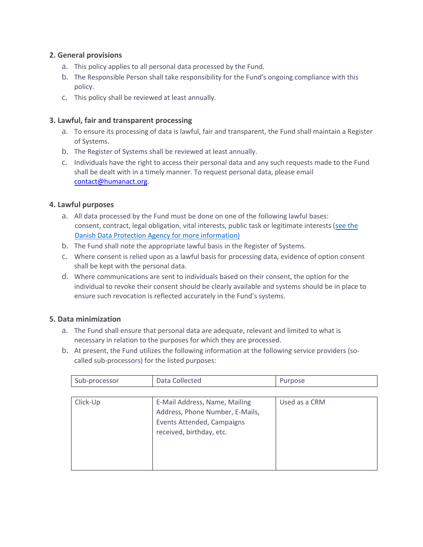# **2. General provisions**

- a. This policy applies to all personal data processed by the Fund.
- b. The Responsible Person shall take responsibility for the Fund's ongoing compliance with this policy.
- c. This policy shall be reviewed at least annually.

# **3. Lawful, fair and transparent processing**

- a. To ensure its processing of data is lawful, fair and transparent, the Fund shall maintain a Register of Systems.
- b. The Register of Systems shall be reviewed at least annually.
- c. Individuals have the right to access their personal data and any such requests made to the Fund shall be dealt with in a timely manner. To request personal data, please email contact@humanact.org.

# **4. Lawful purposes**

- a. All data processed by the Fund must be done on one of the following lawful bases: consent, contract, legal obligation, vital interests, public task or legitimate interests (see the Danish Data Protection Agency for more information)
- b. The Fund shall note the appropriate lawful basis in the Register of Systems.
- c. Where consent is relied upon as a lawful basis for processing data, evidence of option consent shall be kept with the personal data.
- d. Where communications are sent to individuals based on their consent, the option for the individual to revoke their consent should be clearly available and systems should be in place to ensure such revocation is reflected accurately in the Fund's systems.

# **5. Data minimization**

- a. The Fund shall ensure that personal data are adequate, relevant and limited to what is necessary in relation to the purposes for which they are processed.
- b. At present, the Fund utilizes the following information at the following service providers (socalled sub-processors) for the listed purposes:

| Sub-processor | Data Collected                                                                                                             | Purpose       |
|---------------|----------------------------------------------------------------------------------------------------------------------------|---------------|
|               |                                                                                                                            |               |
| Click-Up      | E-Mail Address, Name, Mailing<br>Address, Phone Number, E-Mails,<br>Events Attended, Campaigns<br>received, birthday, etc. | Used as a CRM |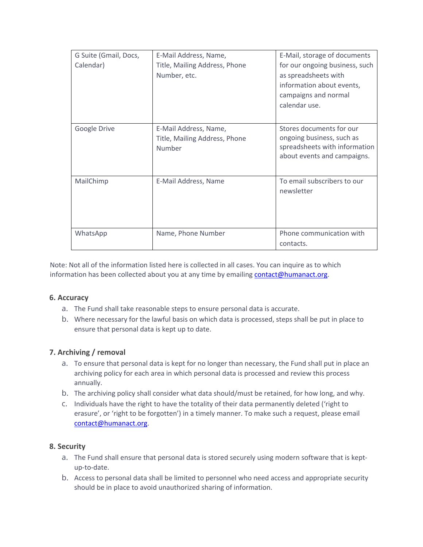| G Suite (Gmail, Docs,<br>Calendar) | E-Mail Address, Name,<br>Title, Mailing Address, Phone<br>Number, etc. | E-Mail, storage of documents<br>for our ongoing business, such<br>as spreadsheets with<br>information about events,<br>campaigns and normal<br>calendar use. |
|------------------------------------|------------------------------------------------------------------------|--------------------------------------------------------------------------------------------------------------------------------------------------------------|
| Google Drive                       | E-Mail Address, Name,<br>Title, Mailing Address, Phone<br>Number       | Stores documents for our<br>ongoing business, such as<br>spreadsheets with information<br>about events and campaigns.                                        |
| MailChimp                          | E-Mail Address, Name                                                   | To email subscribers to our<br>newsletter                                                                                                                    |
| WhatsApp                           | Name, Phone Number                                                     | Phone communication with<br>contacts.                                                                                                                        |

Note: Not all of the information listed here is collected in all cases. You can inquire as to which information has been collected about you at any time by emailing contact@humanact.org.

#### **6. Accuracy**

- a. The Fund shall take reasonable steps to ensure personal data is accurate.
- b. Where necessary for the lawful basis on which data is processed, steps shall be put in place to ensure that personal data is kept up to date.

#### **7. Archiving / removal**

- a. To ensure that personal data is kept for no longer than necessary, the Fund shall put in place an archiving policy for each area in which personal data is processed and review this process annually.
- b. The archiving policy shall consider what data should/must be retained, for how long, and why.
- c. Individuals have the right to have the totality of their data permanently deleted ('right to erasure', or 'right to be forgotten') in a timely manner. To make such a request, please email contact@humanact.org.

#### **8. Security**

- a. The Fund shall ensure that personal data is stored securely using modern software that is keptup-to-date.
- b. Access to personal data shall be limited to personnel who need access and appropriate security should be in place to avoid unauthorized sharing of information.